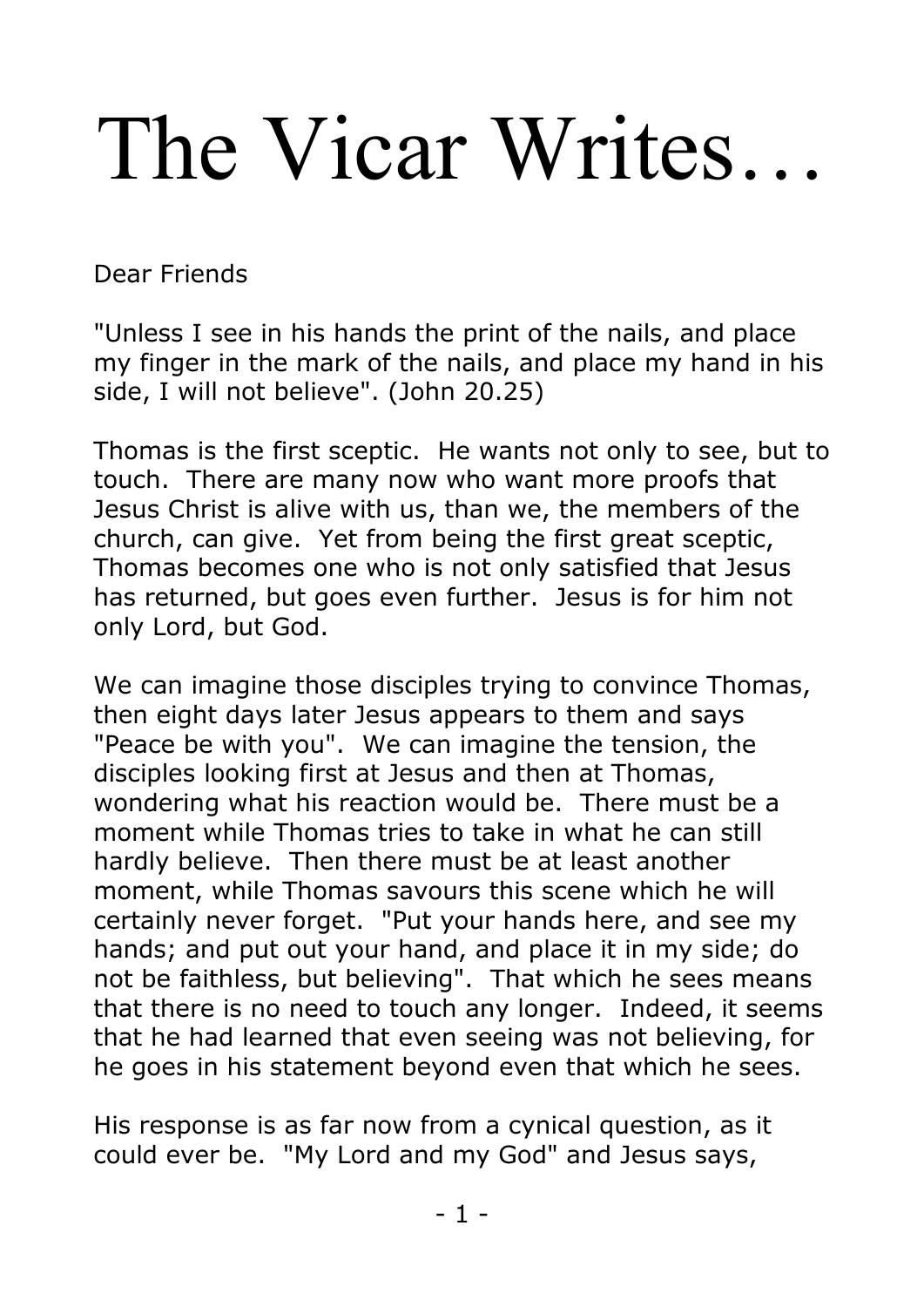# The Vicar Writes…

Dear Friends

"Unless I see in his hands the print of the nails, and place my finger in the mark of the nails, and place my hand in his side, I will not believe". (John 20.25)

Thomas is the first sceptic. He wants not only to see, but to touch. There are many now who want more proofs that Jesus Christ is alive with us, than we, the members of the church, can give. Yet from being the first great sceptic, Thomas becomes one who is not only satisfied that Jesus has returned, but goes even further. Jesus is for him not only Lord, but God.

We can imagine those disciples trying to convince Thomas, then eight days later Jesus appears to them and says "Peace be with you". We can imagine the tension, the disciples looking first at Jesus and then at Thomas, wondering what his reaction would be. There must be a moment while Thomas tries to take in what he can still hardly believe. Then there must be at least another moment, while Thomas savours this scene which he will certainly never forget. "Put your hands here, and see my hands; and put out your hand, and place it in my side; do not be faithless, but believing". That which he sees means that there is no need to touch any longer. Indeed, it seems that he had learned that even seeing was not believing, for he goes in his statement beyond even that which he sees.

His response is as far now from a cynical question, as it could ever be. "My Lord and my God" and Jesus says,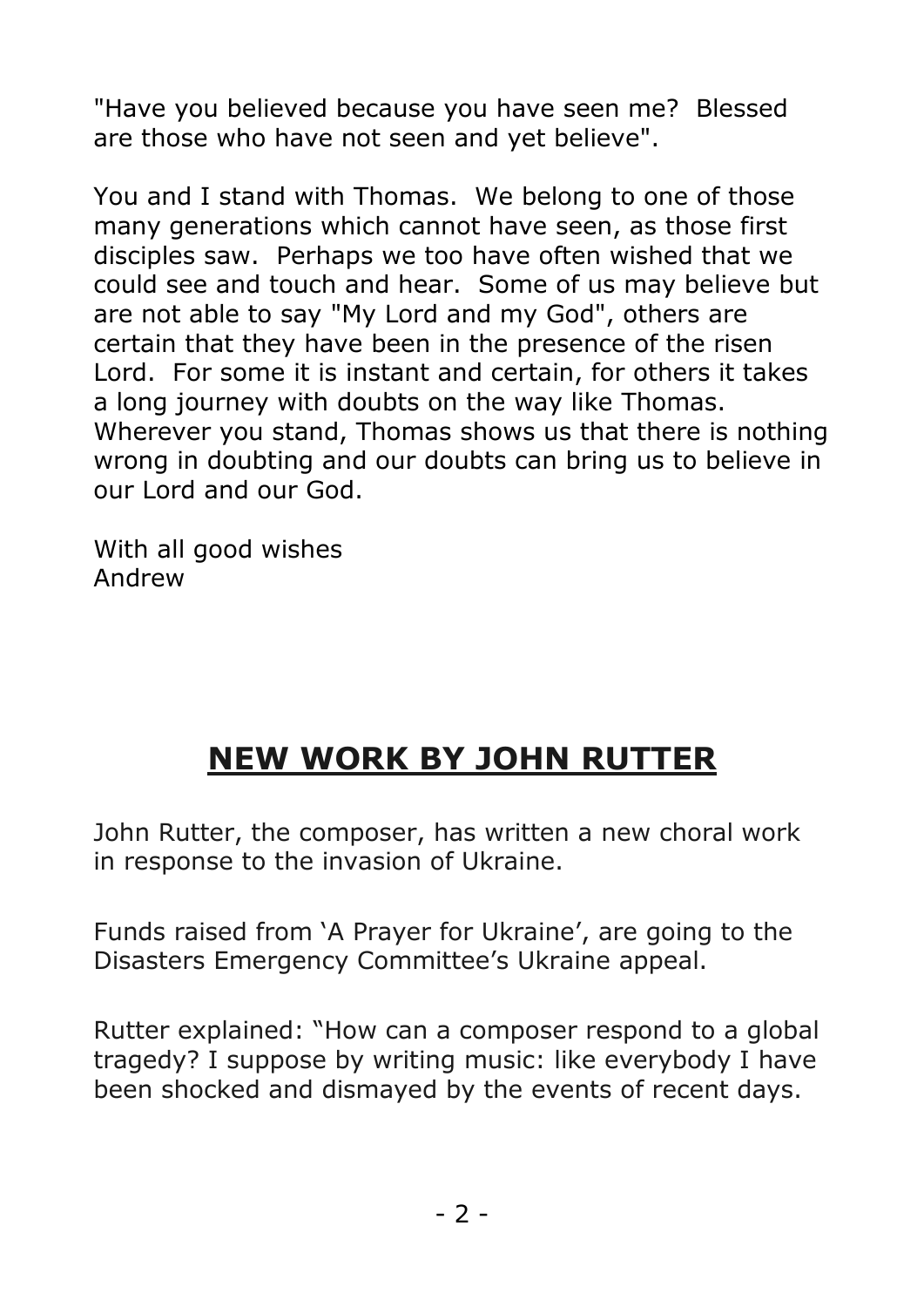"Have you believed because you have seen me? Blessed are those who have not seen and yet believe".

You and I stand with Thomas. We belong to one of those many generations which cannot have seen, as those first disciples saw. Perhaps we too have often wished that we could see and touch and hear. Some of us may believe but are not able to say "My Lord and my God", others are certain that they have been in the presence of the risen Lord. For some it is instant and certain, for others it takes a long journey with doubts on the way like Thomas. Wherever you stand, Thomas shows us that there is nothing wrong in doubting and our doubts can bring us to believe in our Lord and our God.

With all good wishes Andrew

# **NEW WORK BY JOHN RUTTER**

John Rutter, the composer, has written a new choral work in response to the invasion of Ukraine.

Funds raised from 'A Prayer for Ukraine', are going to the Disasters Emergency Committee's Ukraine appeal.

Rutter explained: "How can a composer respond to a global tragedy? I suppose by writing music: like everybody I have been shocked and dismayed by the events of recent days.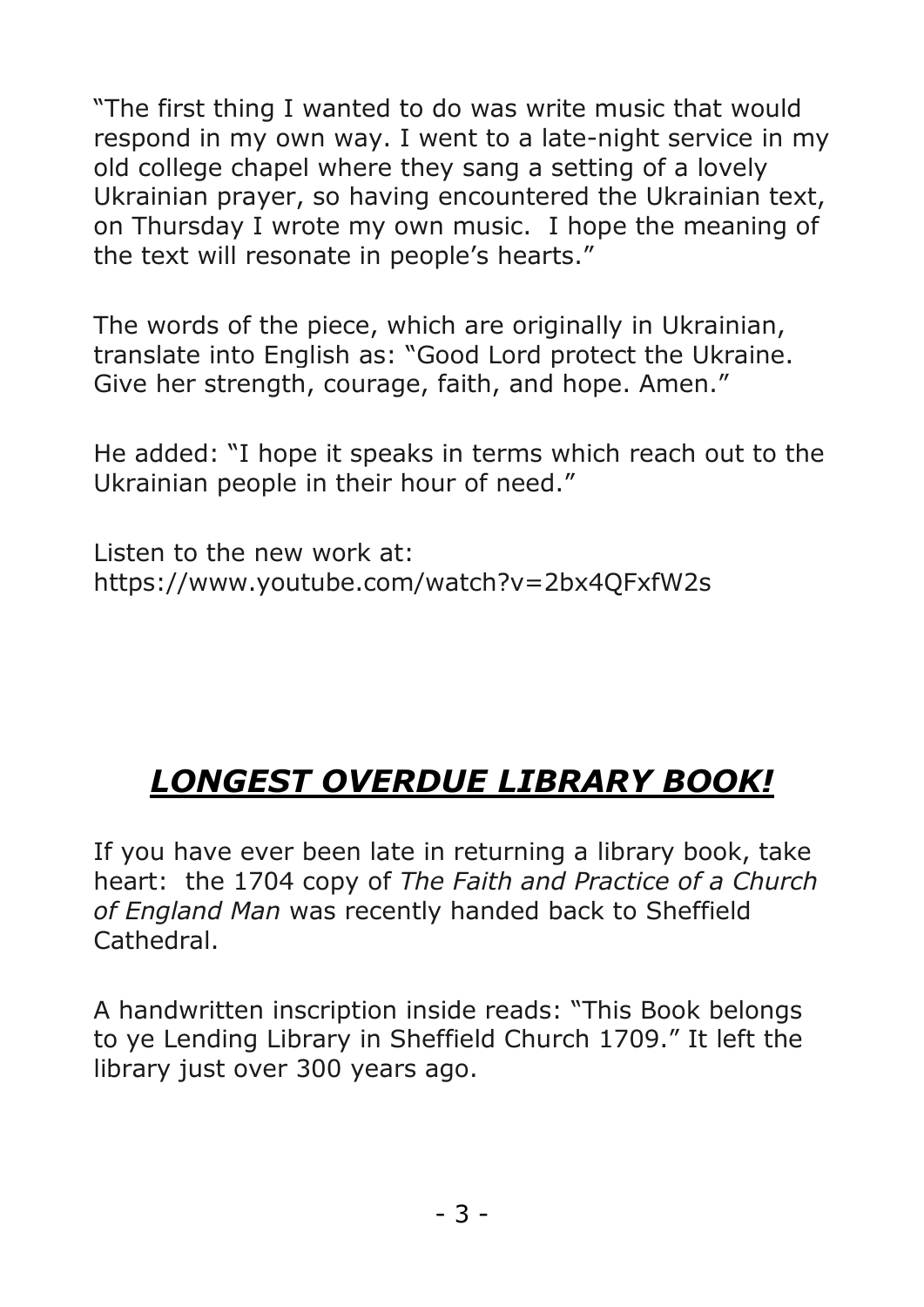"The first thing I wanted to do was write music that would respond in my own way. I went to a late-night service in my old college chapel where they sang a setting of a lovely Ukrainian prayer, so having encountered the Ukrainian text, on Thursday I wrote my own music. I hope the meaning of the text will resonate in people's hearts."

The words of the piece, which are originally in Ukrainian, translate into English as: "Good Lord protect the Ukraine. Give her strength, courage, faith, and hope. Amen."

He added: "I hope it speaks in terms which reach out to the Ukrainian people in their hour of need."

Listen to the new work at: https://www.youtube.com/watch?v=2bx4QFxfW2s

# *LONGEST OVERDUE LIBRARY BOOK!*

If you have ever been late in returning a library book, take heart: the 1704 copy of *The Faith and Practice of a Church of England Man* was recently handed back to Sheffield Cathedral.

A handwritten inscription inside reads: "This Book belongs to ye Lending Library in Sheffield Church 1709." It left the library just over 300 years ago.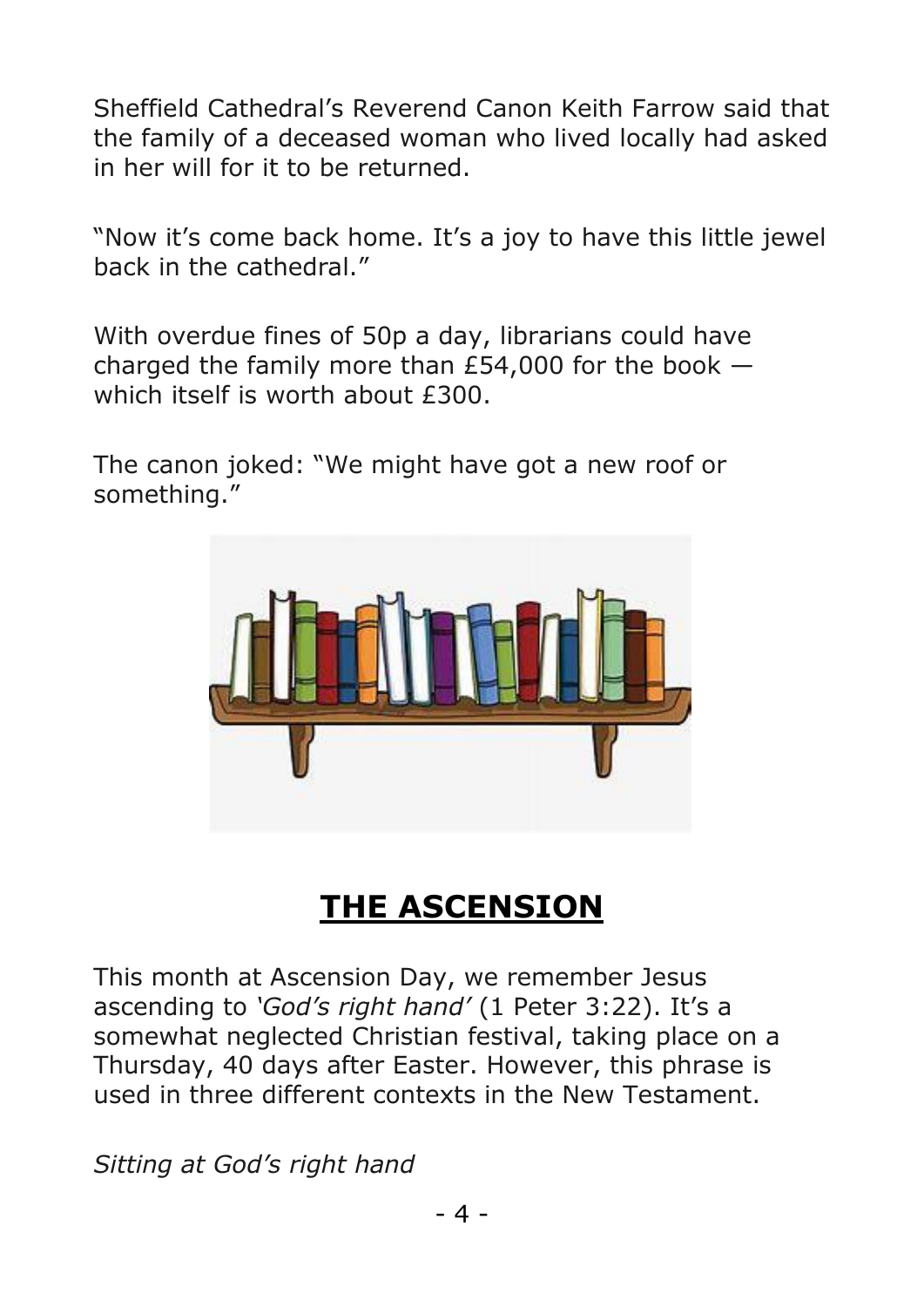Sheffield Cathedral's Reverend Canon Keith Farrow said that the family of a deceased woman who lived locally had asked in her will for it to be returned.

"Now it's come back home. It's a joy to have this little jewel back in the cathedral."

With overdue fines of 50p a day, librarians could have charged the family more than  $E$ 54,000 for the book  $$ which itself is worth about £300.

The canon joked: "We might have got a new roof or something."



# **THE ASCENSION**

This month at Ascension Day, we remember Jesus ascending to *'God's right hand'* (1 Peter 3:22). It's a somewhat neglected Christian festival, taking place on a Thursday, 40 days after Easter. However, this phrase is used in three different contexts in the New Testament.

*Sitting at God's right hand*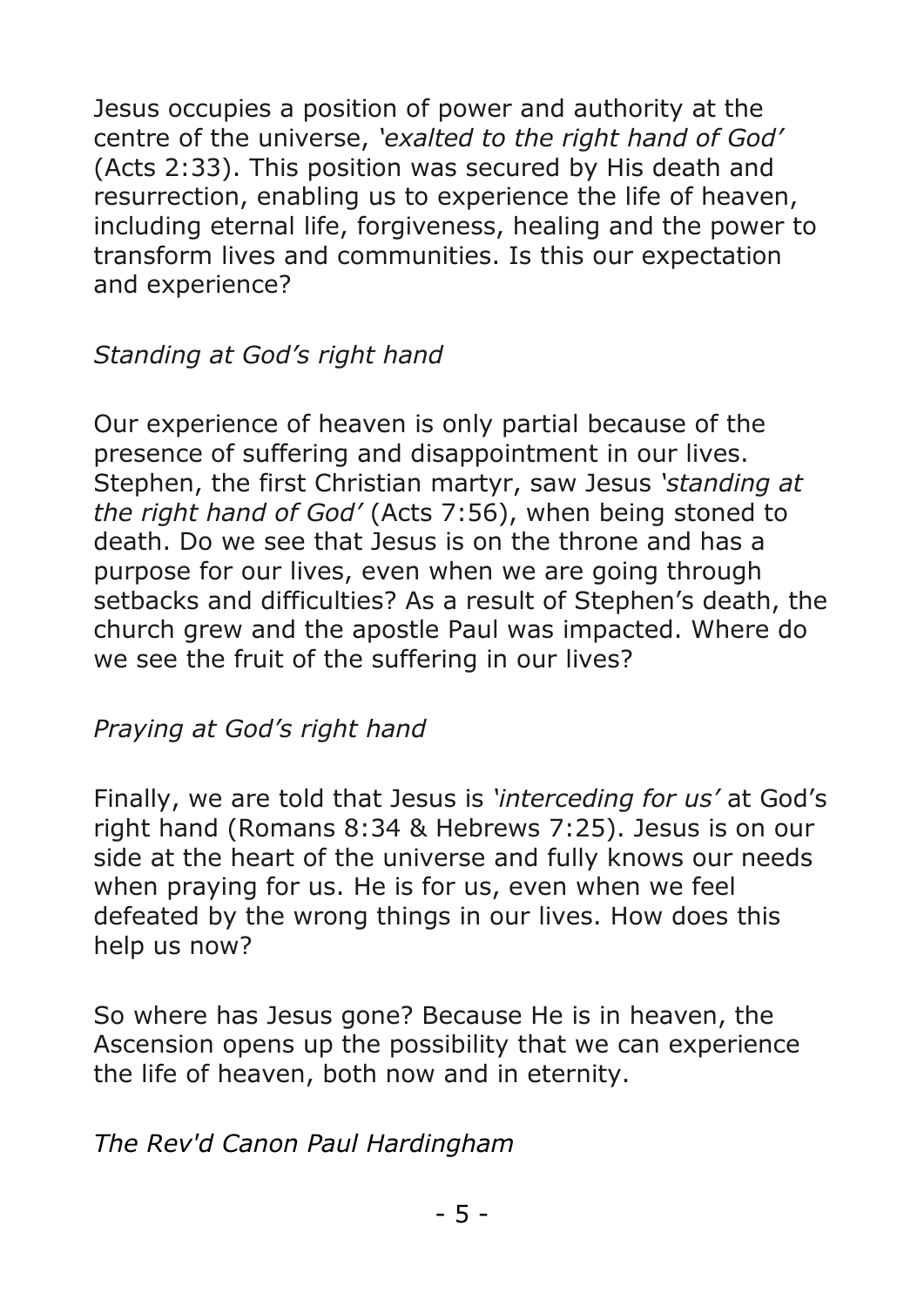Jesus occupies a position of power and authority at the centre of the universe, *'exalted to the right hand of God'* (Acts 2:33). This position was secured by His death and resurrection, enabling us to experience the life of heaven, including eternal life, forgiveness, healing and the power to transform lives and communities. Is this our expectation and experience?

#### *Standing at God's right hand*

Our experience of heaven is only partial because of the presence of suffering and disappointment in our lives. Stephen, the first Christian martyr, saw Jesus *'standing at the right hand of God'* (Acts 7:56), when being stoned to death. Do we see that Jesus is on the throne and has a purpose for our lives, even when we are going through setbacks and difficulties? As a result of Stephen's death, the church grew and the apostle Paul was impacted. Where do we see the fruit of the suffering in our lives?

#### *Praying at God's right hand*

Finally, we are told that Jesus is *'interceding for us'* at God's right hand (Romans 8:34 & Hebrews 7:25). Jesus is on our side at the heart of the universe and fully knows our needs when praying for us. He is for us, even when we feel defeated by the wrong things in our lives. How does this help us now?

So where has Jesus gone? Because He is in heaven, the Ascension opens up the possibility that we can experience the life of heaven, both now and in eternity.

#### *The Rev'd Canon Paul Hardingham*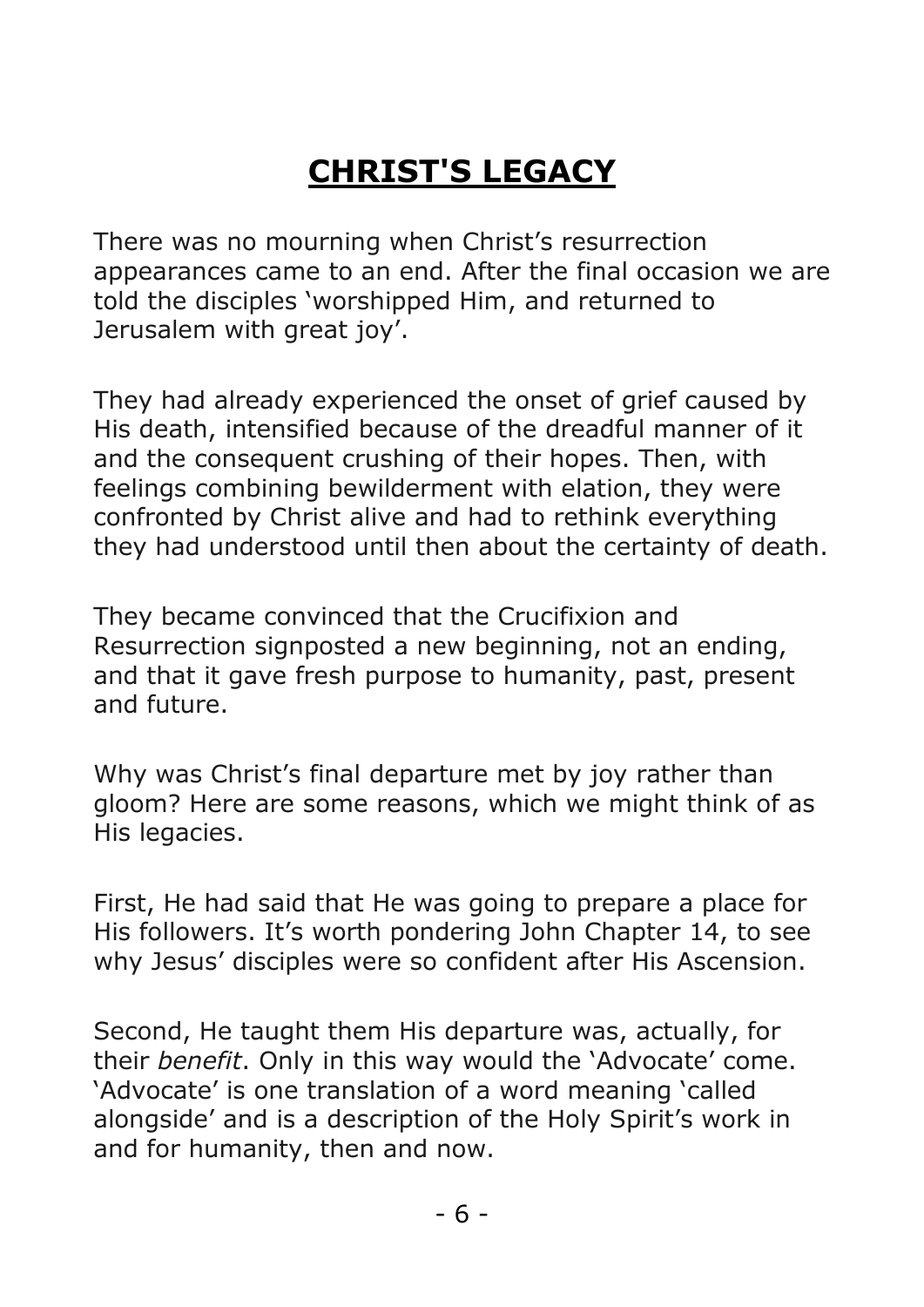# **CHRIST'S LEGACY**

There was no mourning when Christ's resurrection appearances came to an end. After the final occasion we are told the disciples 'worshipped Him, and returned to Jerusalem with great joy'.

They had already experienced the onset of grief caused by His death, intensified because of the dreadful manner of it and the consequent crushing of their hopes. Then, with feelings combining bewilderment with elation, they were confronted by Christ alive and had to rethink everything they had understood until then about the certainty of death.

They became convinced that the Crucifixion and Resurrection signposted a new beginning, not an ending, and that it gave fresh purpose to humanity, past, present and future.

Why was Christ's final departure met by joy rather than gloom? Here are some reasons, which we might think of as His legacies.

First, He had said that He was going to prepare a place for His followers. It's worth pondering John Chapter 14, to see why Jesus' disciples were so confident after His Ascension.

Second, He taught them His departure was, actually, for their *benefit*. Only in this way would the 'Advocate' come. 'Advocate' is one translation of a word meaning 'called alongside' and is a description of the Holy Spirit's work in and for humanity, then and now.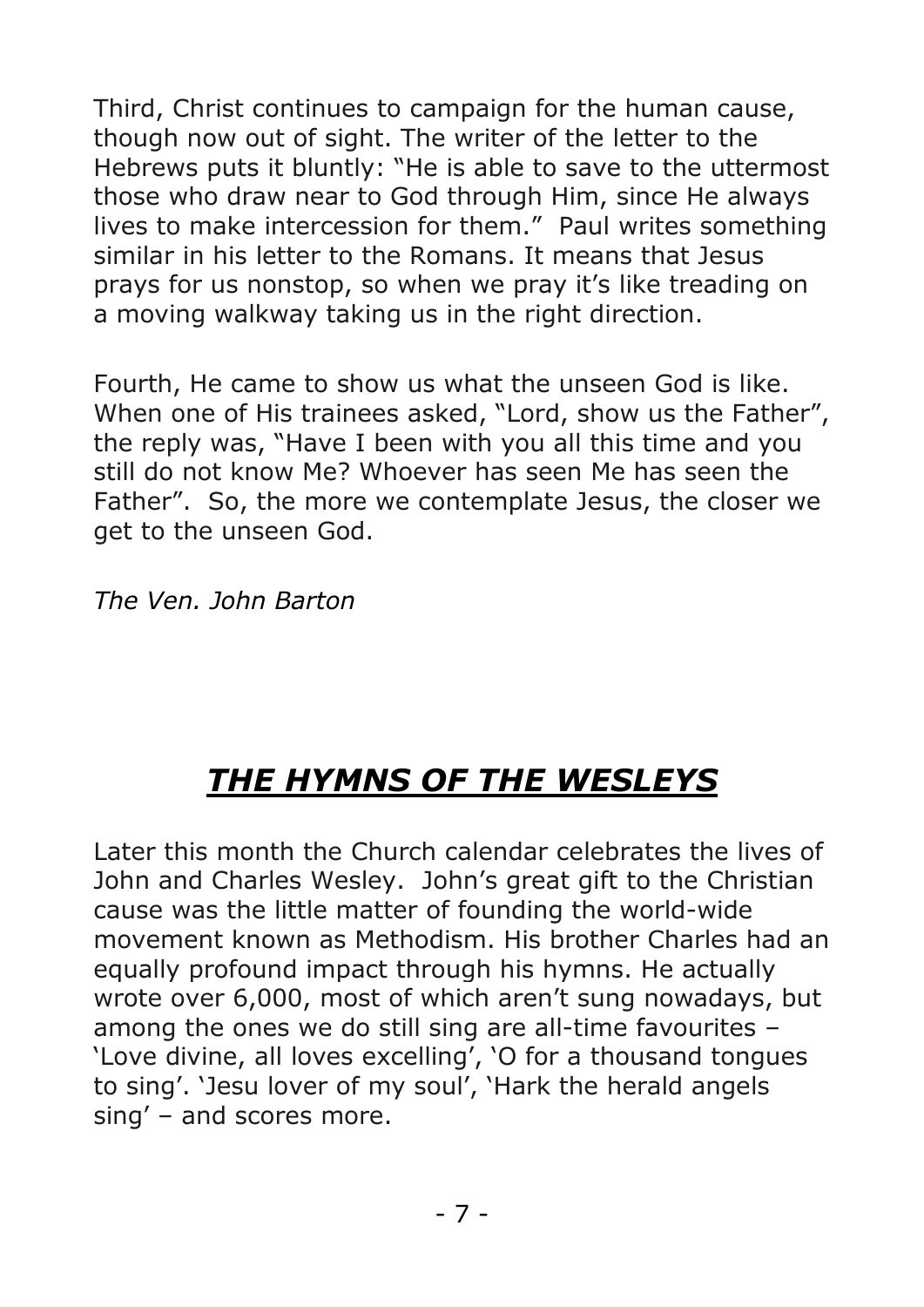Third, Christ continues to campaign for the human cause, though now out of sight. The writer of the letter to the Hebrews puts it bluntly: "He is able to save to the uttermost those who draw near to God through Him, since He always lives to make intercession for them." Paul writes something similar in his letter to the Romans. It means that Jesus prays for us nonstop, so when we pray it's like treading on a moving walkway taking us in the right direction.

Fourth, He came to show us what the unseen God is like. When one of His trainees asked, "Lord, show us the Father", the reply was, "Have I been with you all this time and you still do not know Me? Whoever has seen Me has seen the Father". So, the more we contemplate Jesus, the closer we get to the unseen God.

*The Ven. John Barton*

# *THE HYMNS OF THE WESLEYS*

Later this month the Church calendar celebrates the lives of John and Charles Wesley. John's great gift to the Christian cause was the little matter of founding the world-wide movement known as Methodism. His brother Charles had an equally profound impact through his hymns. He actually wrote over 6,000, most of which aren't sung nowadays, but among the ones we do still sing are all-time favourites – 'Love divine, all loves excelling', 'O for a thousand tongues to sing'. 'Jesu lover of my soul', 'Hark the herald angels sing' – and scores more.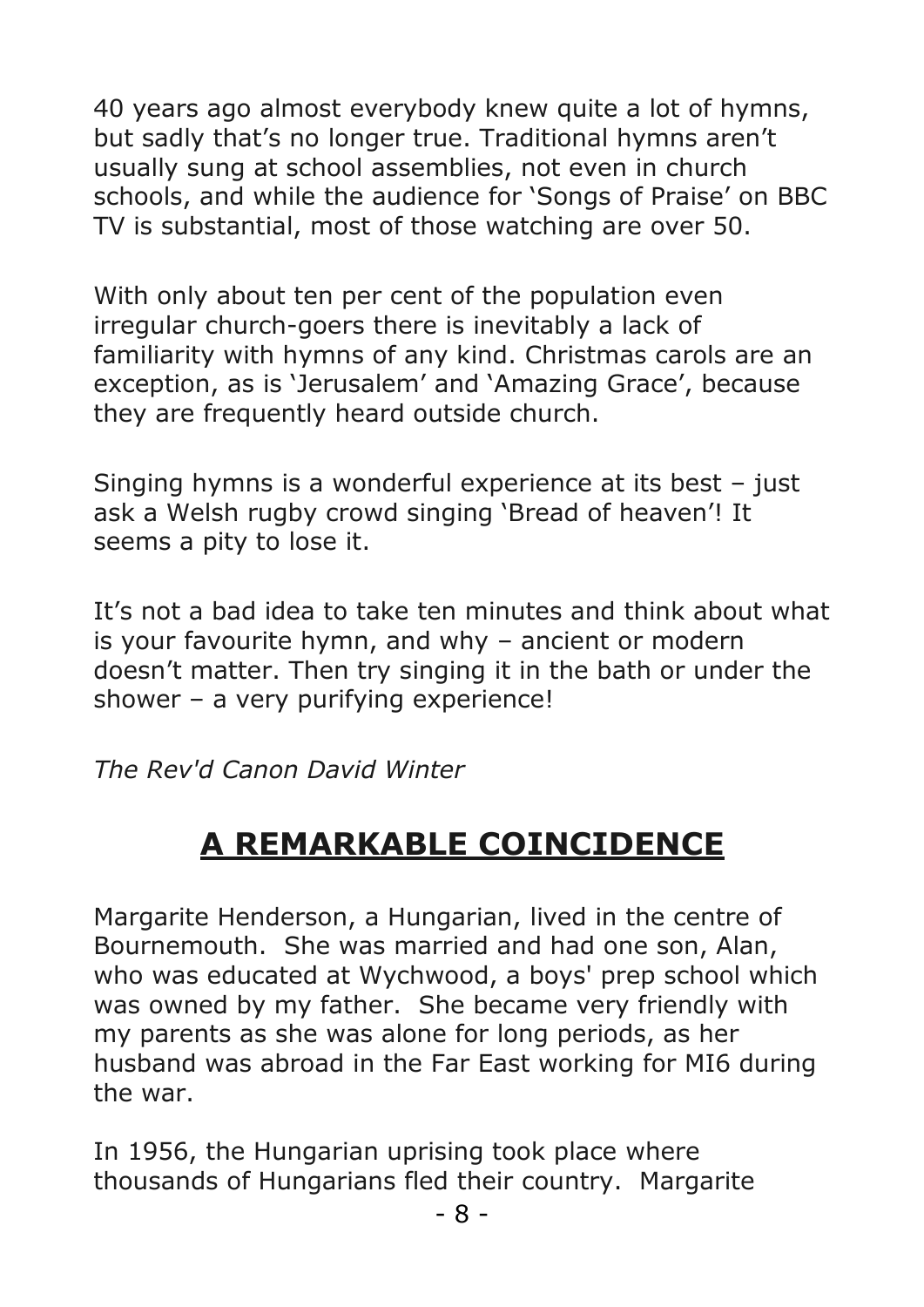40 years ago almost everybody knew quite a lot of hymns, but sadly that's no longer true. Traditional hymns aren't usually sung at school assemblies, not even in church schools, and while the audience for 'Songs of Praise' on BBC TV is substantial, most of those watching are over 50.

With only about ten per cent of the population even irregular church-goers there is inevitably a lack of familiarity with hymns of any kind. Christmas carols are an exception, as is 'Jerusalem' and 'Amazing Grace', because they are frequently heard outside church.

Singing hymns is a wonderful experience at its best – just ask a Welsh rugby crowd singing 'Bread of heaven'! It seems a pity to lose it.

It's not a bad idea to take ten minutes and think about what is your favourite hymn, and why – ancient or modern doesn't matter. Then try singing it in the bath or under the shower – a very purifying experience!

*The Rev'd Canon David Winter*

# **A REMARKABLE COINCIDENCE**

Margarite Henderson, a Hungarian, lived in the centre of Bournemouth. She was married and had one son, Alan, who was educated at Wychwood, a boys' prep school which was owned by my father. She became very friendly with my parents as she was alone for long periods, as her husband was abroad in the Far East working for MI6 during the war.

In 1956, the Hungarian uprising took place where thousands of Hungarians fled their country. Margarite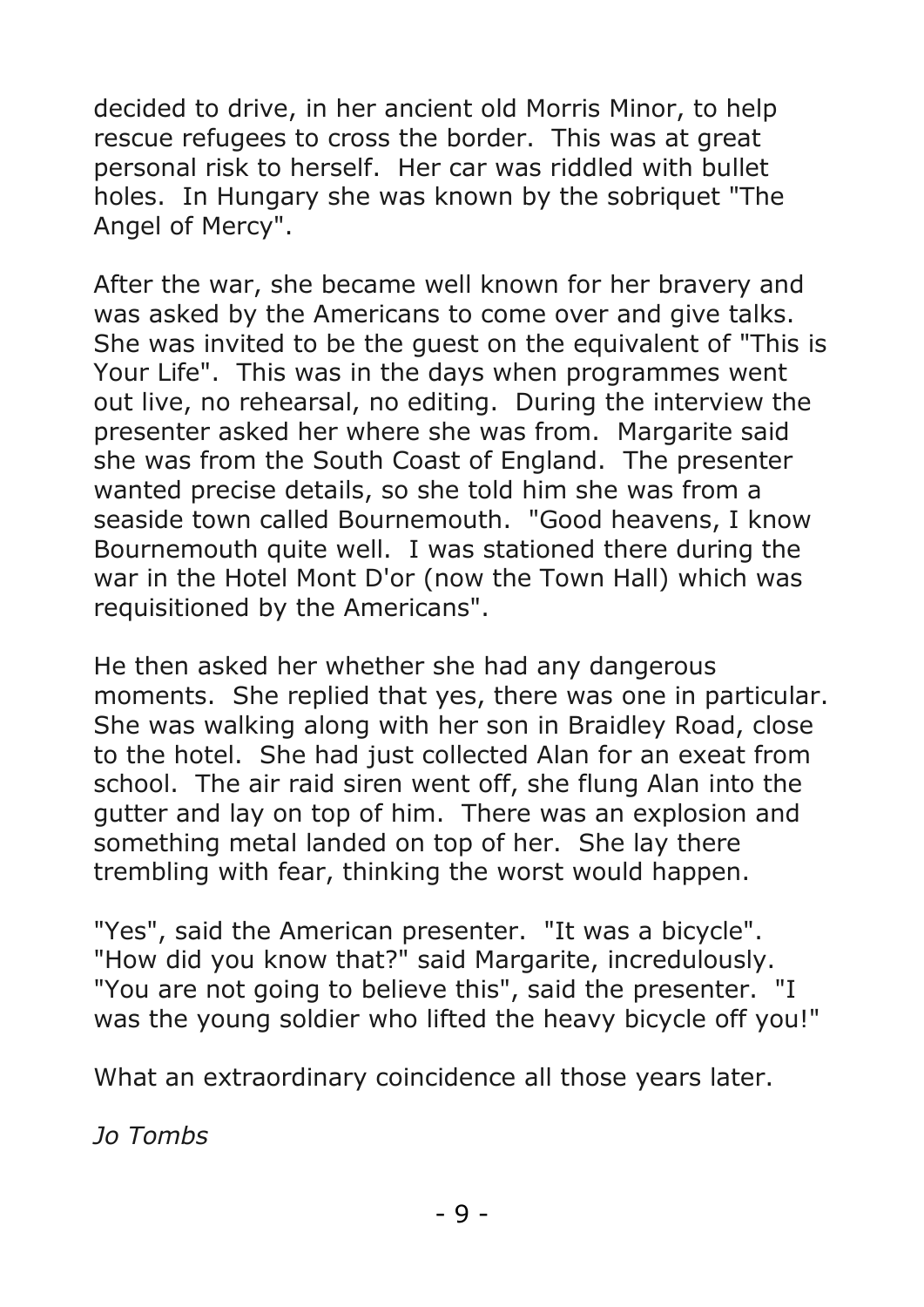decided to drive, in her ancient old Morris Minor, to help rescue refugees to cross the border. This was at great personal risk to herself. Her car was riddled with bullet holes. In Hungary she was known by the sobriquet "The Angel of Mercy".

After the war, she became well known for her bravery and was asked by the Americans to come over and give talks. She was invited to be the guest on the equivalent of "This is Your Life". This was in the days when programmes went out live, no rehearsal, no editing. During the interview the presenter asked her where she was from. Margarite said she was from the South Coast of England. The presenter wanted precise details, so she told him she was from a seaside town called Bournemouth. "Good heavens, I know Bournemouth quite well. I was stationed there during the war in the Hotel Mont D'or (now the Town Hall) which was requisitioned by the Americans".

He then asked her whether she had any dangerous moments. She replied that yes, there was one in particular. She was walking along with her son in Braidley Road, close to the hotel. She had just collected Alan for an exeat from school. The air raid siren went off, she flung Alan into the gutter and lay on top of him. There was an explosion and something metal landed on top of her. She lay there trembling with fear, thinking the worst would happen.

"Yes", said the American presenter. "It was a bicycle". "How did you know that?" said Margarite, incredulously. "You are not going to believe this", said the presenter. "I was the young soldier who lifted the heavy bicycle off you!"

What an extraordinary coincidence all those years later.

*Jo Tombs*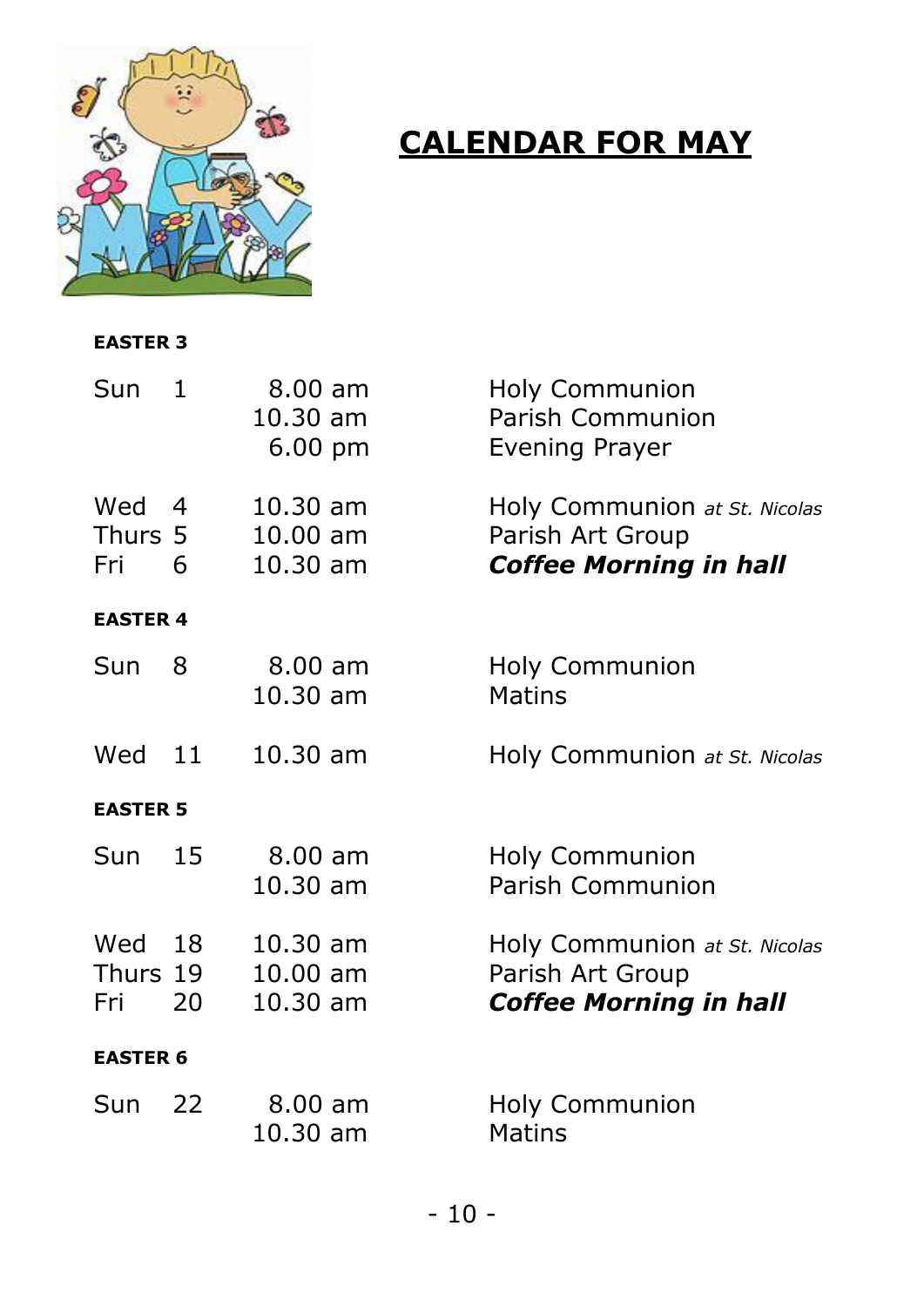

# **CALENDAR FOR MAY**

#### **EASTER 3**

| Sun                    | 1        | 8.00 am<br>$10.30$ am<br>$6.00 \text{ pm}$ | <b>Holy Communion</b><br>Parish Communion<br>Evening Prayer                        |  |  |
|------------------------|----------|--------------------------------------------|------------------------------------------------------------------------------------|--|--|
| Wed<br>Thurs 5<br>Fri  | 4<br>6   | $10.30$ am<br>$10.00$ am<br>10.30 am       | Holy Communion at St. Nicolas<br>Parish Art Group<br><b>Coffee Morning in hall</b> |  |  |
| <b>EASTER 4</b>        |          |                                            |                                                                                    |  |  |
| Sun                    | 8        | $8.00$ am<br>$10.30$ am                    | <b>Holy Communion</b><br><b>Matins</b>                                             |  |  |
| Wed                    | -11      | 10.30 am                                   | Holy Communion at St. Nicolas                                                      |  |  |
| <b>EASTER 5</b>        |          |                                            |                                                                                    |  |  |
| Sun                    | 15       | $8.00$ am<br>$10.30$ am                    | <b>Holy Communion</b><br>Parish Communion                                          |  |  |
| Wed<br>Thurs 19<br>Fri | 18<br>20 | $10.30$ am<br>$10.00$ am<br>$10.30$ am     | Holy Communion at St. Nicolas<br>Parish Art Group<br><b>Coffee Morning in hall</b> |  |  |
| <b>EASTER 6</b>        |          |                                            |                                                                                    |  |  |
| Sun                    | 22       | $8.00$ am<br>10.30 am                      | <b>Holy Communion</b><br><b>Matins</b>                                             |  |  |
|                        |          |                                            |                                                                                    |  |  |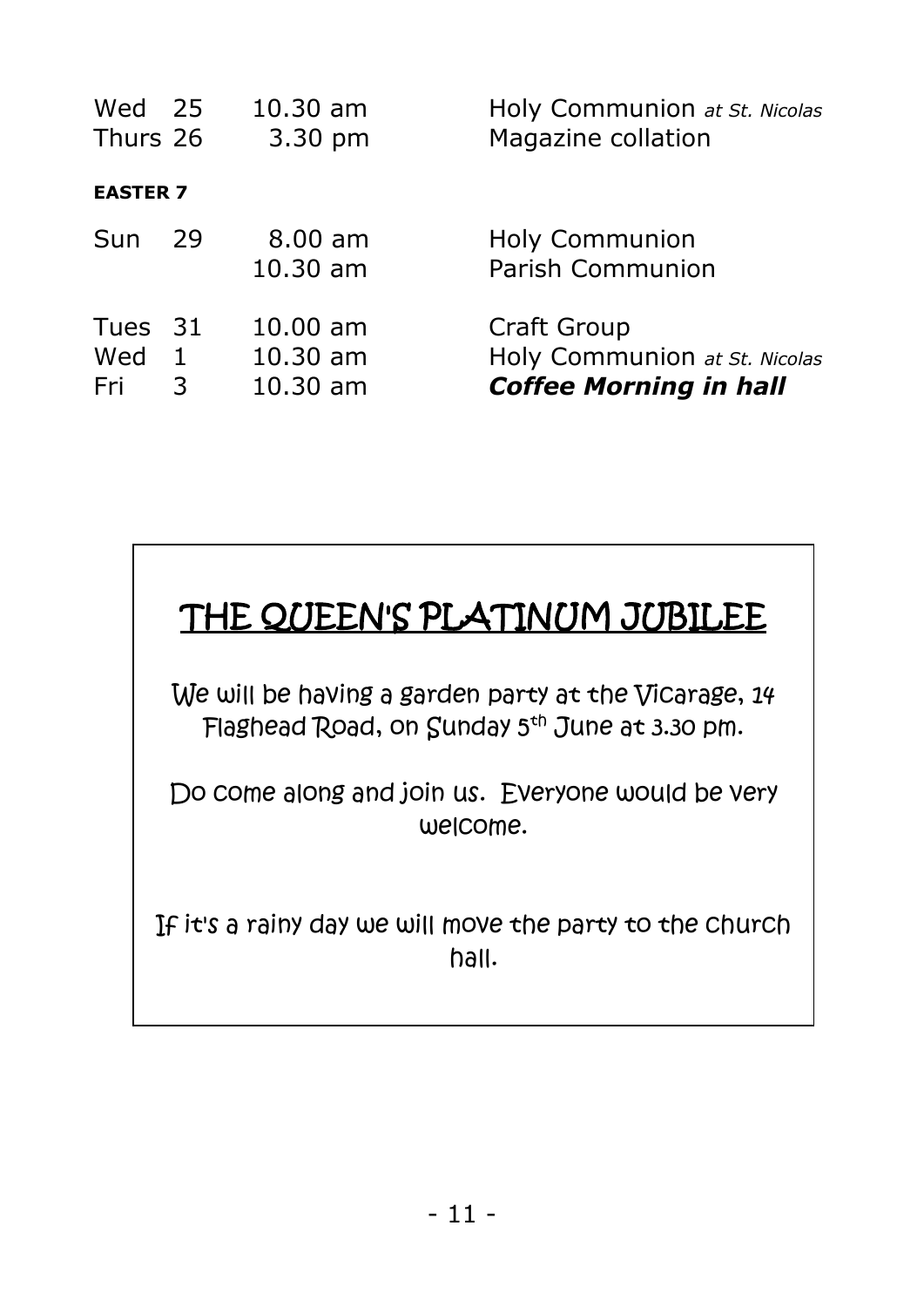| Wed 25<br>Thurs 26    |                   | $10.30$ am<br>3.30 pm                  | Holy Communion at St. Nicolas<br>Magazine collation                           |
|-----------------------|-------------------|----------------------------------------|-------------------------------------------------------------------------------|
| <b>EASTER 7</b>       |                   |                                        |                                                                               |
| Sun                   | 29                | $8.00$ am<br>$10.30$ am                | <b>Holy Communion</b><br>Parish Communion                                     |
| Tues 31<br>Wed<br>Fri | $\mathbf{1}$<br>3 | $10.00$ am<br>$10.30$ am<br>$10.30$ am | Craft Group<br>Holy Communion at St. Nicolas<br><b>Coffee Morning in hall</b> |



We will be having a garden party at the Vicarage, 14 Flaghead Road, on Sunday 5<sup>th</sup> June at 3.30 pm.

Do come along and join us. Everyone would be very welcome.

If it's a rainy day we will move the party to the church hall.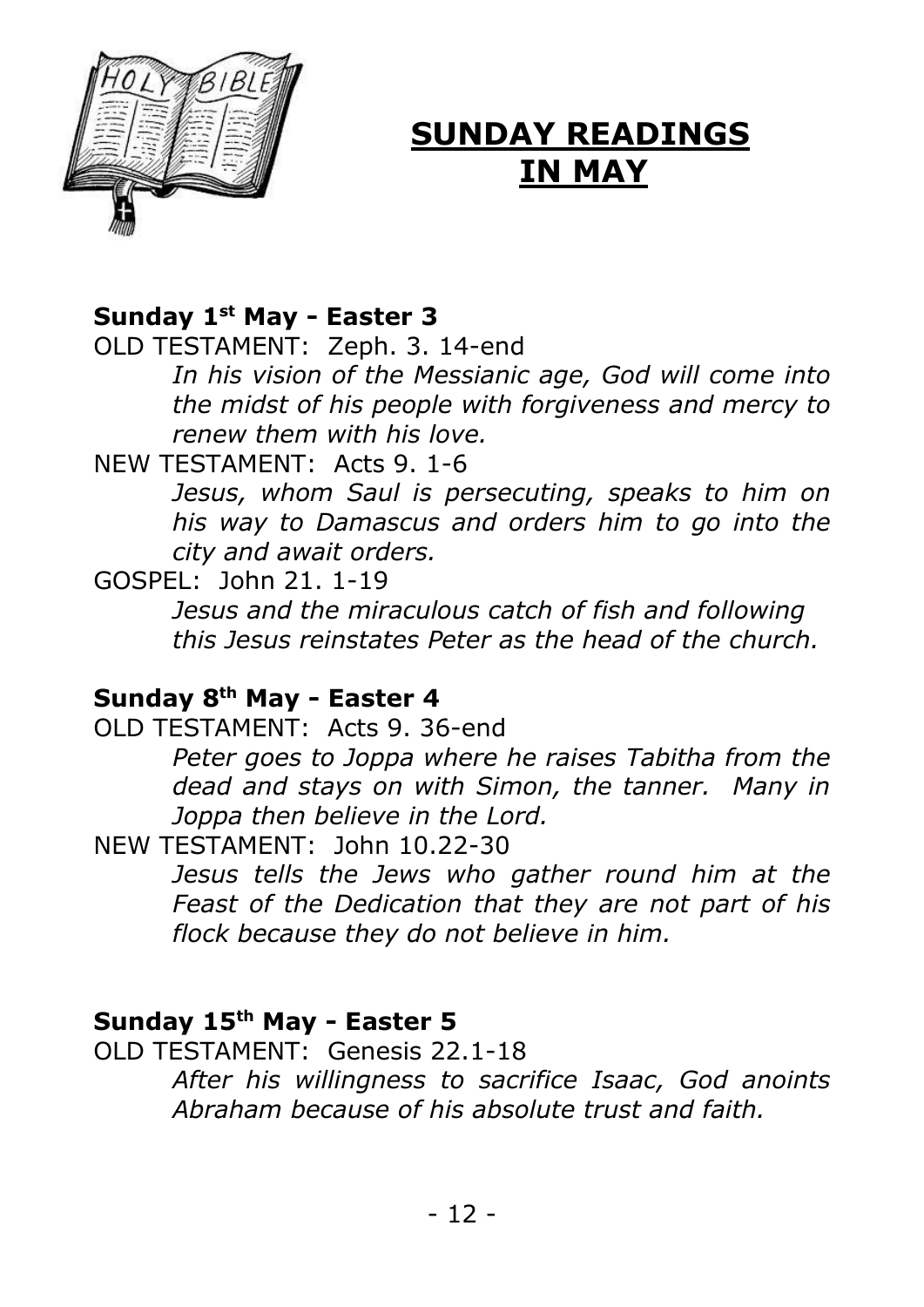

## **SUNDAY READINGS IN MAY**

#### **Sunday 1st May - Easter 3**

OLD TESTAMENT: Zeph. 3. 14-end

*In his vision of the Messianic age, God will come into the midst of his people with forgiveness and mercy to renew them with his love.*

NEW TESTAMENT: Acts 9. 1-6

*Jesus, whom Saul is persecuting, speaks to him on his way to Damascus and orders him to go into the city and await orders.*

GOSPEL: John 21. 1-19

*Jesus and the miraculous catch of fish and following this Jesus reinstates Peter as the head of the church.*

#### **Sunday 8th May - Easter 4**

OLD TESTAMENT: Acts 9. 36-end

*Peter goes to Joppa where he raises Tabitha from the dead and stays on with Simon, the tanner. Many in Joppa then believe in the Lord.*

NEW TESTAMENT: John 10.22-30

*Jesus tells the Jews who gather round him at the Feast of the Dedication that they are not part of his flock because they do not believe in him.*

#### **Sunday 15th May - Easter 5**

OLD TESTAMENT: Genesis 22.1-18 *After his willingness to sacrifice Isaac, God anoints Abraham because of his absolute trust and faith.*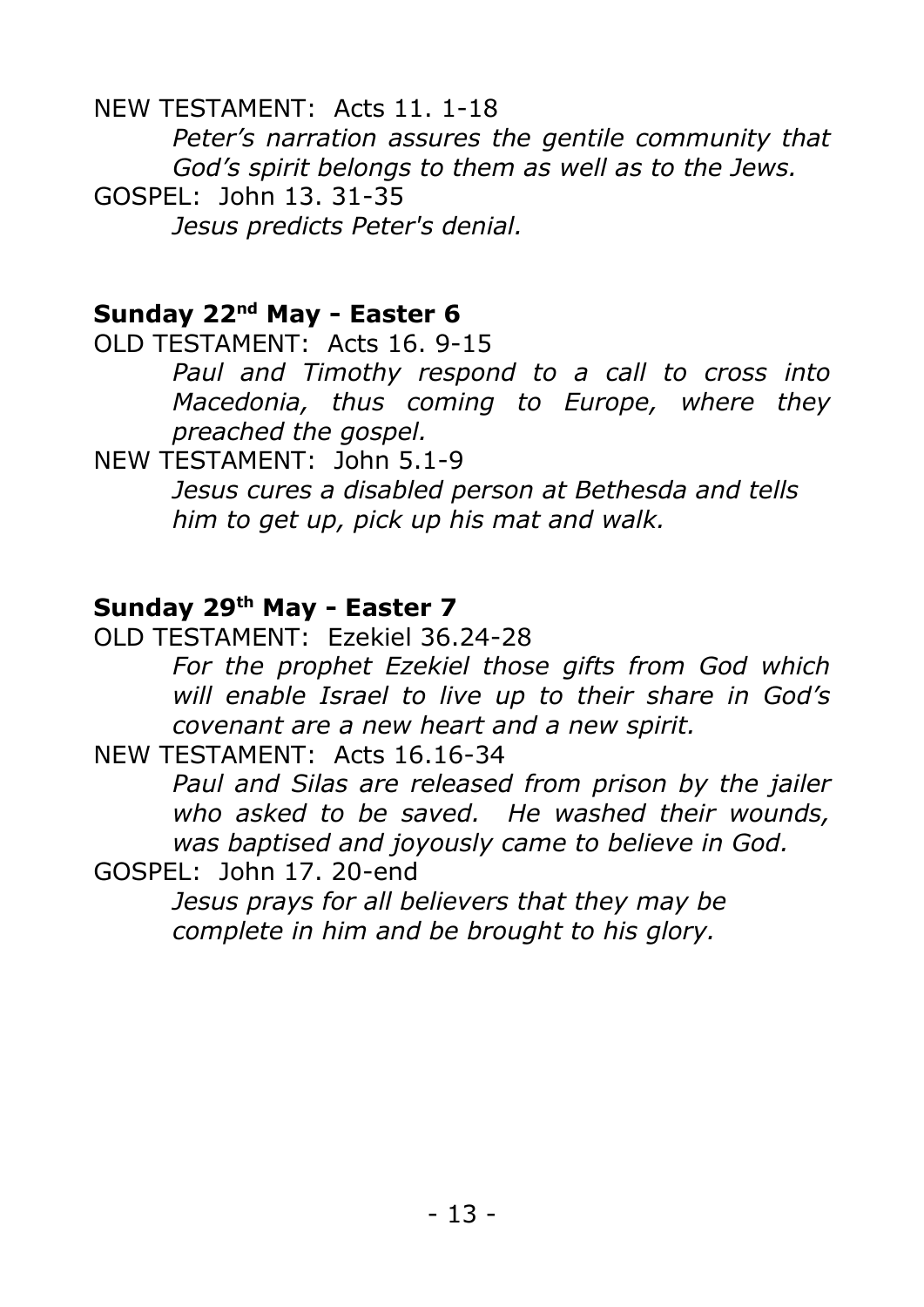NEW TESTAMENT: Acts 11. 1-18 *Peter's narration assures the gentile community that God's spirit belongs to them as well as to the Jews.* GOSPEL: John 13. 31-35 *Jesus predicts Peter's denial.*

#### **Sunday 22nd May - Easter 6**

OLD TESTAMENT: Acts 16. 9-15

*Paul and Timothy respond to a call to cross into Macedonia, thus coming to Europe, where they preached the gospel.*

NEW TESTAMENT: John 5.1-9 *Jesus cures a disabled person at Bethesda and tells him to get up, pick up his mat and walk.*

#### **Sunday 29th May - Easter 7**

OLD TESTAMENT: Ezekiel 36.24-28 *For the prophet Ezekiel those gifts from God which will enable Israel to live up to their share in God's covenant are a new heart and a new spirit.*

NEW TESTAMENT: Acts 16.16-34

*Paul and Silas are released from prison by the jailer who asked to be saved. He washed their wounds, was baptised and joyously came to believe in God.*

GOSPEL: John 17. 20-end

*Jesus prays for all believers that they may be complete in him and be brought to his glory.*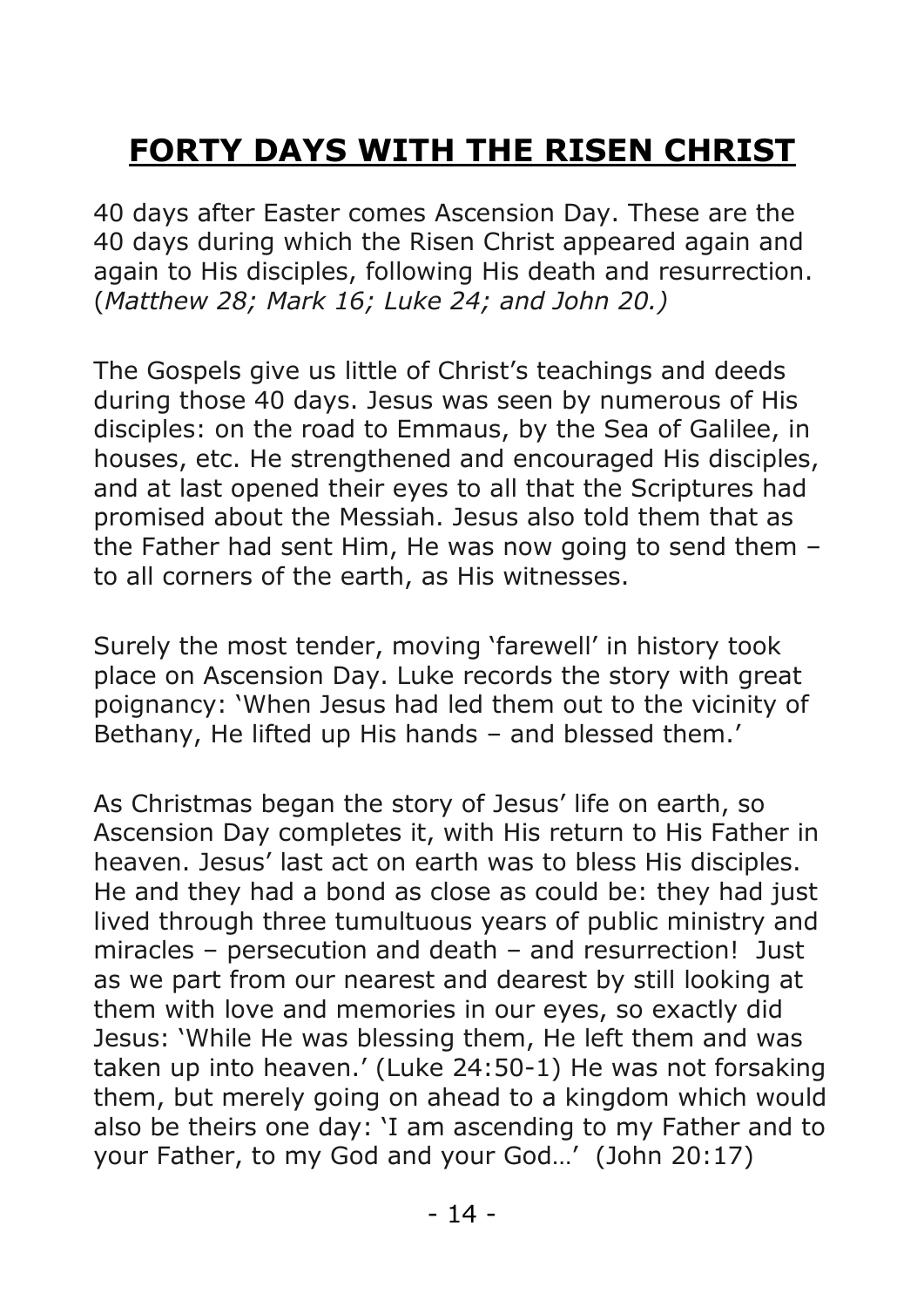# **FORTY DAYS WITH THE RISEN CHRIST**

40 days after Easter comes Ascension Day. These are the 40 days during which the Risen Christ appeared again and again to His disciples, following His death and resurrection. (*Matthew 28; Mark 16; Luke 24; and John 20.)*

The Gospels give us little of Christ's teachings and deeds during those 40 days. Jesus was seen by numerous of His disciples: on the road to Emmaus, by the Sea of Galilee, in houses, etc. He strengthened and encouraged His disciples, and at last opened their eyes to all that the Scriptures had promised about the Messiah. Jesus also told them that as the Father had sent Him, He was now going to send them – to all corners of the earth, as His witnesses.

Surely the most tender, moving 'farewell' in history took place on Ascension Day. Luke records the story with great poignancy: 'When Jesus had led them out to the vicinity of Bethany, He lifted up His hands – and blessed them.'

As Christmas began the story of Jesus' life on earth, so Ascension Day completes it, with His return to His Father in heaven. Jesus' last act on earth was to bless His disciples. He and they had a bond as close as could be: they had just lived through three tumultuous years of public ministry and miracles – persecution and death – and resurrection! Just as we part from our nearest and dearest by still looking at them with love and memories in our eyes, so exactly did Jesus: 'While He was blessing them, He left them and was taken up into heaven.' (Luke 24:50-1) He was not forsaking them, but merely going on ahead to a kingdom which would also be theirs one day: 'I am ascending to my Father and to your Father, to my God and your God…' (John 20:17)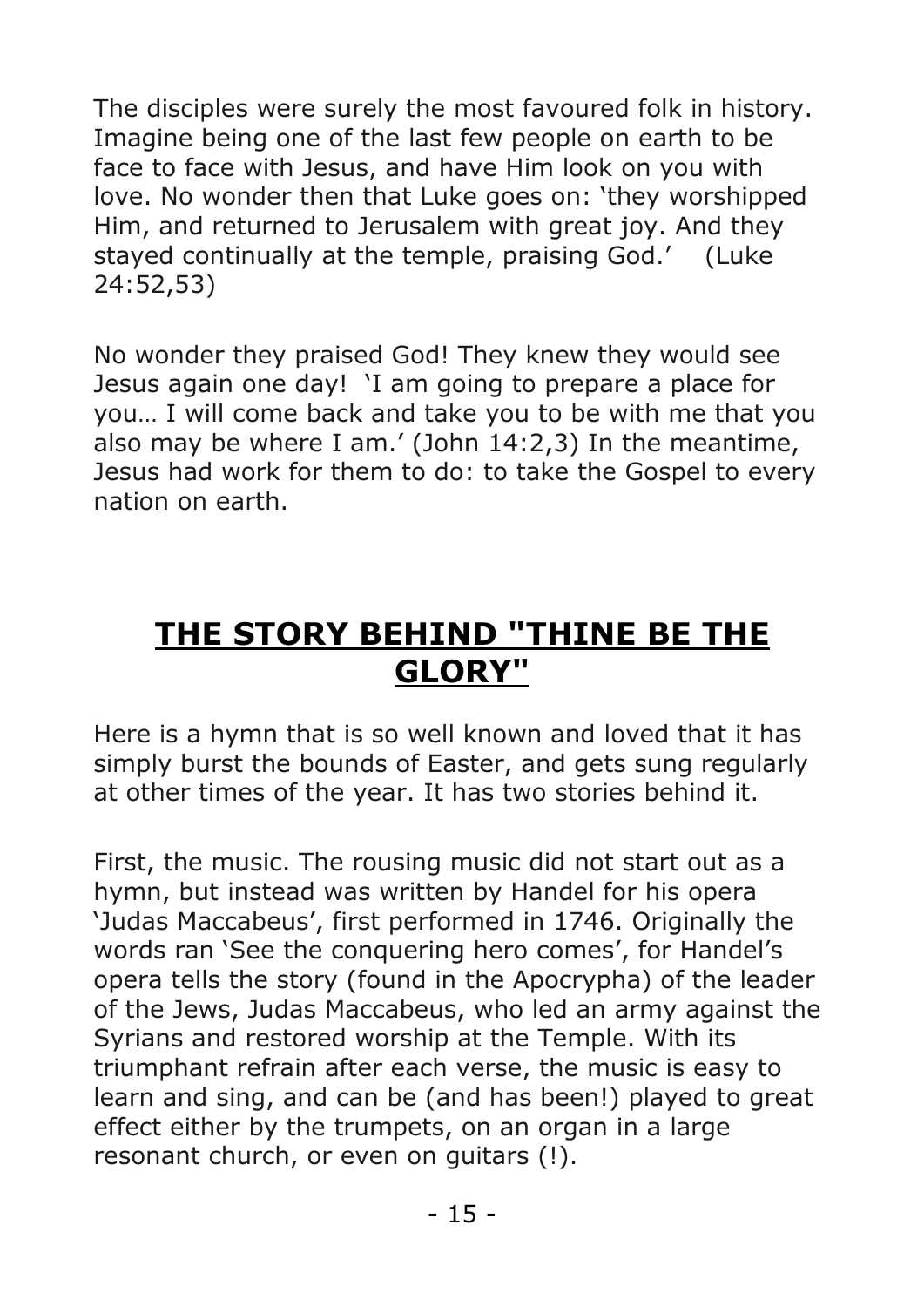The disciples were surely the most favoured folk in history. Imagine being one of the last few people on earth to be face to face with Jesus, and have Him look on you with love. No wonder then that Luke goes on: 'they worshipped Him, and returned to Jerusalem with great joy. And they stayed continually at the temple, praising God.' (Luke 24:52,53)

No wonder they praised God! They knew they would see Jesus again one day! 'I am going to prepare a place for you… I will come back and take you to be with me that you also may be where I am.' (John 14:2,3) In the meantime, Jesus had work for them to do: to take the Gospel to every nation on earth.

## **THE STORY BEHIND "THINE BE THE GLORY"**

Here is a hymn that is so well known and loved that it has simply burst the bounds of Easter, and gets sung regularly at other times of the year. It has two stories behind it.

First, the music. The rousing music did not start out as a hymn, but instead was written by Handel for his opera 'Judas Maccabeus', first performed in 1746. Originally the words ran 'See the conquering hero comes', for Handel's opera tells the story (found in the Apocrypha) of the leader of the Jews, Judas Maccabeus, who led an army against the Syrians and restored worship at the Temple. With its triumphant refrain after each verse, the music is easy to learn and sing, and can be (and has been!) played to great effect either by the trumpets, on an organ in a large resonant church, or even on guitars (!).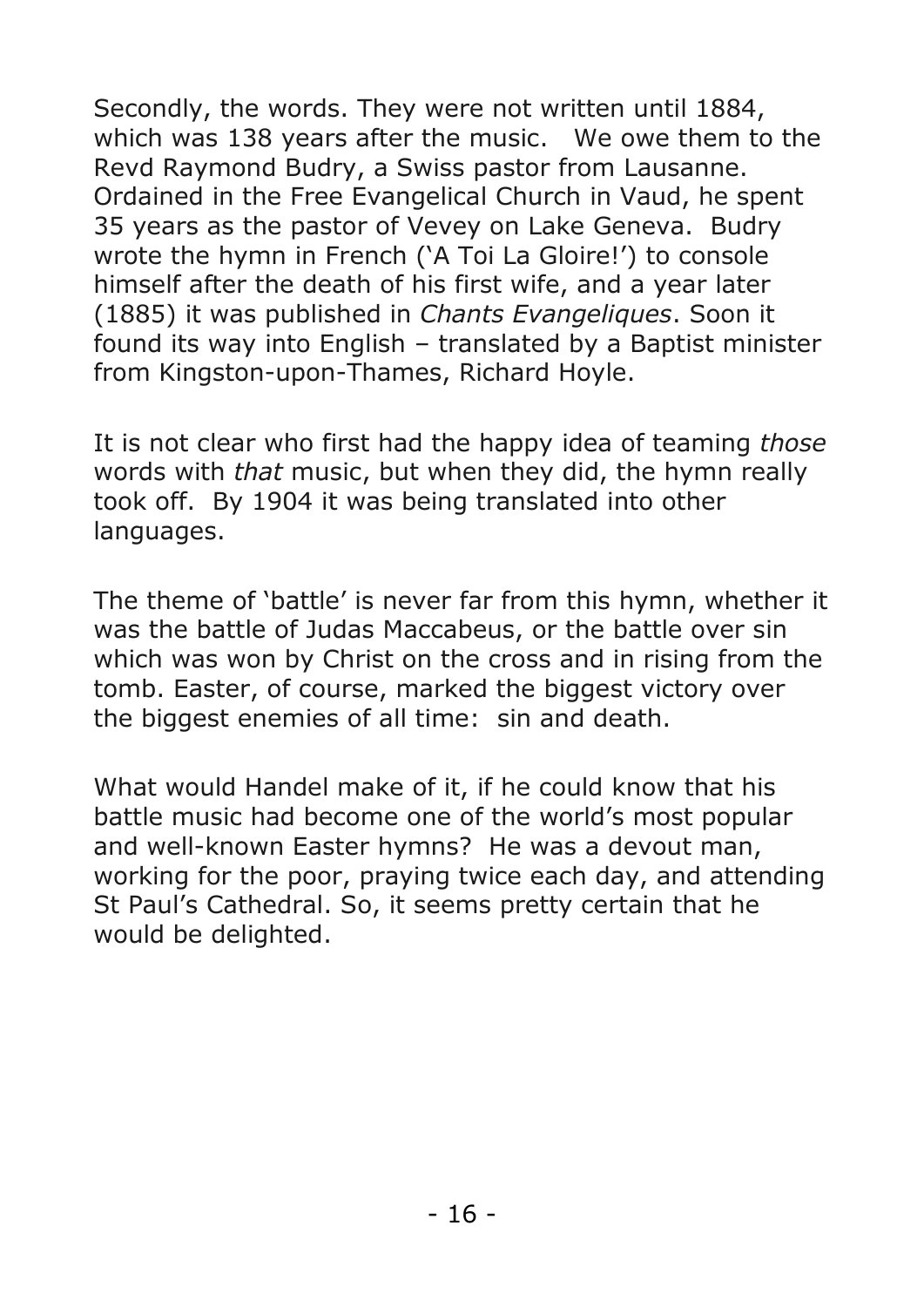Secondly, the words. They were not written until 1884, which was 138 years after the music. We owe them to the Revd Raymond Budry, a Swiss pastor from Lausanne. Ordained in the Free Evangelical Church in Vaud, he spent 35 years as the pastor of Vevey on Lake Geneva. Budry wrote the hymn in French ('A Toi La Gloire!') to console himself after the death of his first wife, and a year later (1885) it was published in *Chants Evangeliques*. Soon it found its way into English – translated by a Baptist minister from Kingston-upon-Thames, Richard Hoyle.

It is not clear who first had the happy idea of teaming *those*  words with *that* music, but when they did, the hymn really took off. By 1904 it was being translated into other languages.

The theme of 'battle' is never far from this hymn, whether it was the battle of Judas Maccabeus, or the battle over sin which was won by Christ on the cross and in rising from the tomb. Easter, of course, marked the biggest victory over the biggest enemies of all time: sin and death.

What would Handel make of it, if he could know that his battle music had become one of the world's most popular and well-known Easter hymns? He was a devout man, working for the poor, praying twice each day, and attending St Paul's Cathedral. So, it seems pretty certain that he would be delighted.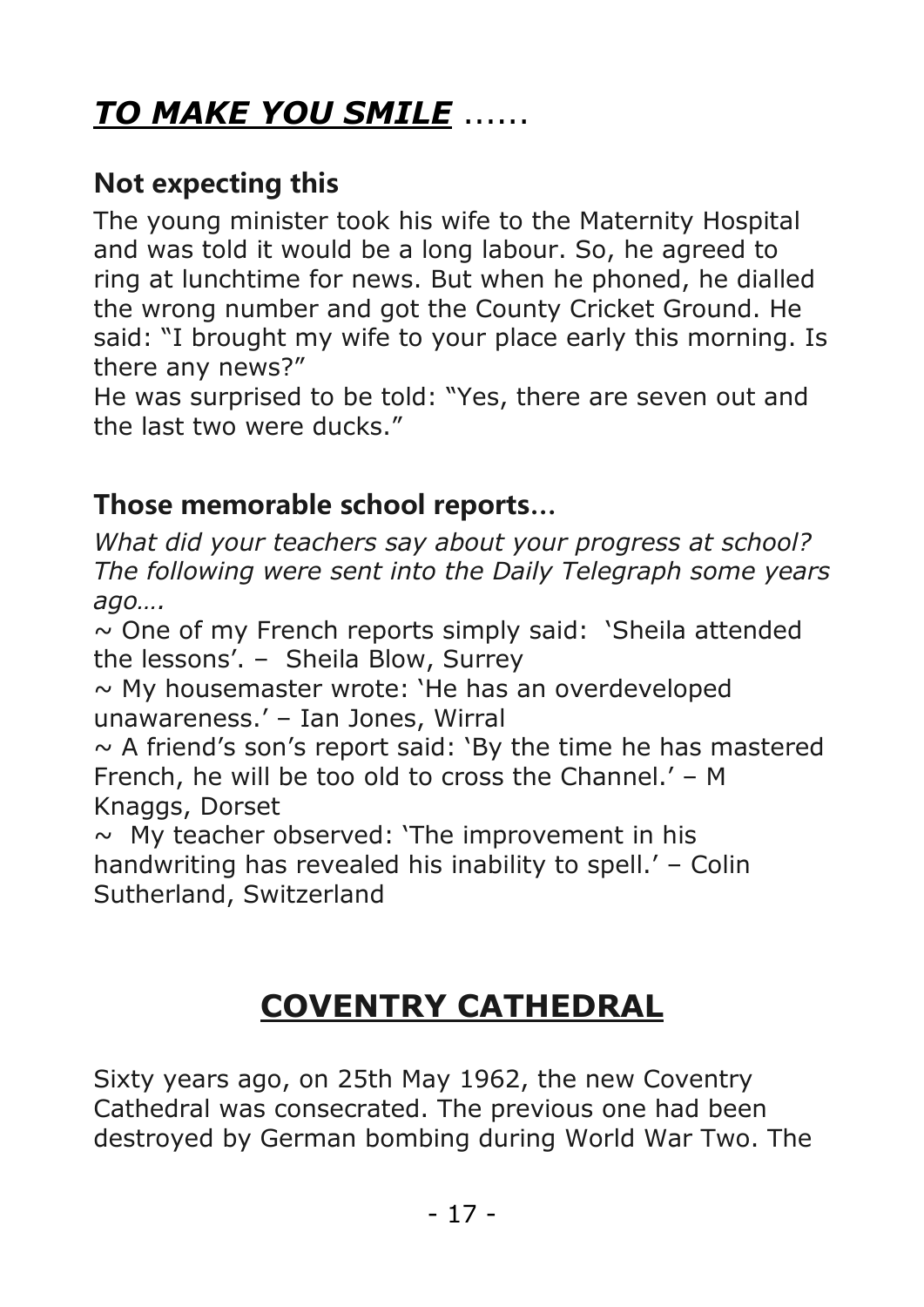# *TO MAKE YOU SMILE* ......

#### **Not expecting this**

The young minister took his wife to the Maternity Hospital and was told it would be a long labour. So, he agreed to ring at lunchtime for news. But when he phoned, he dialled the wrong number and got the County Cricket Ground. He said: "I brought my wife to your place early this morning. Is there any news?"

He was surprised to be told: "Yes, there are seven out and the last two were ducks."

#### **Those memorable school reports…**

*What did your teachers say about your progress at school? The following were sent into the Daily Telegraph some years ago….*

 $\sim$  One of my French reports simply said: 'Sheila attended the lessons'. – Sheila Blow, Surrey

 $\sim$  My housemaster wrote: 'He has an overdeveloped unawareness.' – Ian Jones, Wirral

 $\sim$  A friend's son's report said: 'By the time he has mastered French, he will be too old to cross the Channel.' – M Knaggs, Dorset

 $\sim$  My teacher observed: 'The improvement in his handwriting has revealed his inability to spell.' – Colin Sutherland, Switzerland

# **COVENTRY CATHEDRAL**

Sixty years ago, on 25th May 1962, the new Coventry Cathedral was consecrated. The previous one had been destroyed by German bombing during World War Two. The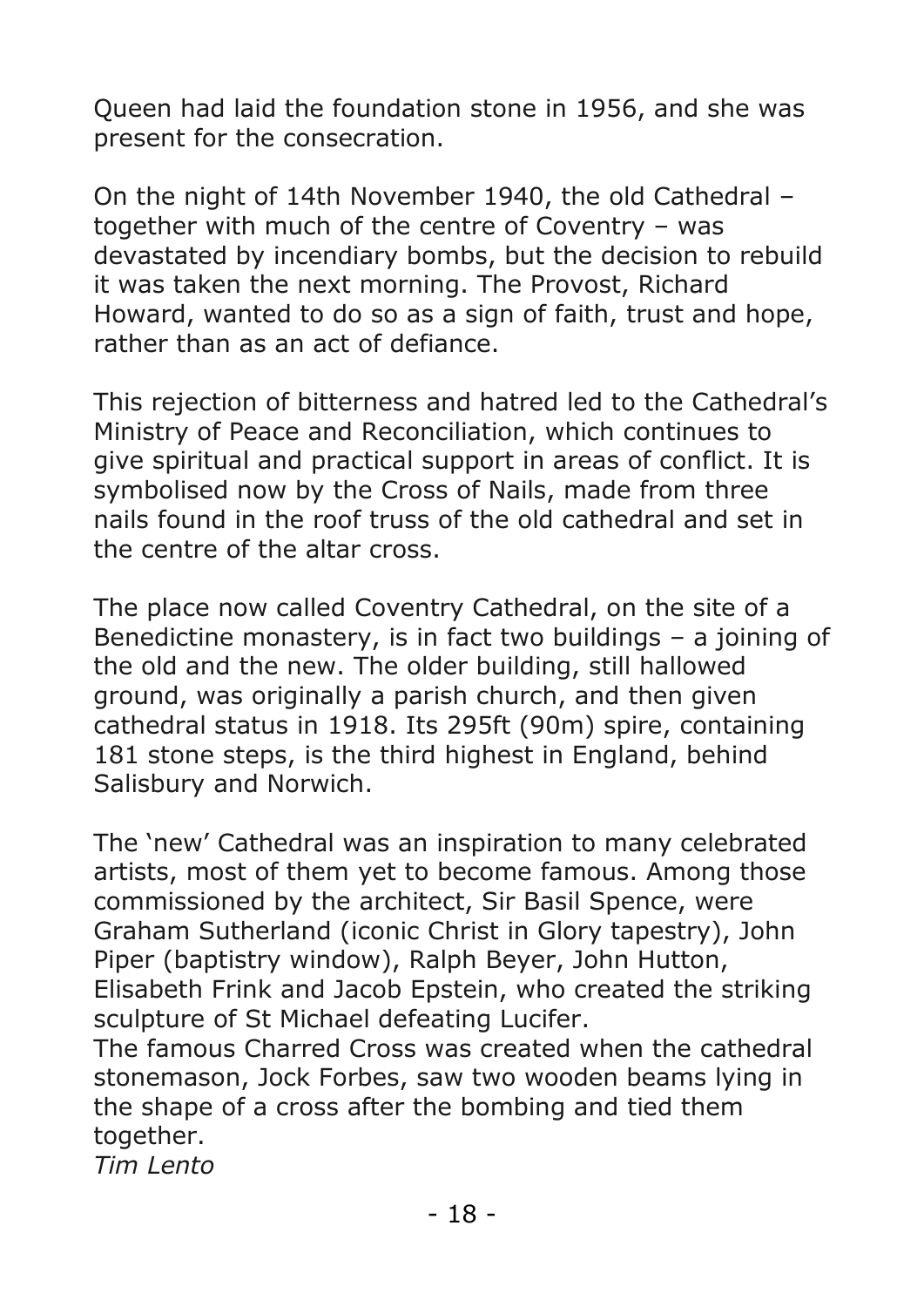Queen had laid the foundation stone in 1956, and she was present for the consecration.

On the night of 14th November 1940, the old Cathedral – together with much of the centre of Coventry – was devastated by incendiary bombs, but the decision to rebuild it was taken the next morning. The Provost, Richard Howard, wanted to do so as a sign of faith, trust and hope, rather than as an act of defiance.

This rejection of bitterness and hatred led to the Cathedral's Ministry of Peace and Reconciliation, which continues to give spiritual and practical support in areas of conflict. It is symbolised now by the Cross of Nails, made from three nails found in the roof truss of the old cathedral and set in the centre of the altar cross.

The place now called Coventry Cathedral, on the site of a Benedictine monastery, is in fact two buildings – a joining of the old and the new. The older building, still hallowed ground, was originally a parish church, and then given cathedral status in 1918. Its 295ft (90m) spire, containing 181 stone steps, is the third highest in England, behind Salisbury and Norwich.

The 'new' Cathedral was an inspiration to many celebrated artists, most of them yet to become famous. Among those commissioned by the architect, Sir Basil Spence, were Graham Sutherland (iconic Christ in Glory tapestry), John Piper (baptistry window), Ralph Beyer, John Hutton, Elisabeth Frink and Jacob Epstein, who created the striking sculpture of St Michael defeating Lucifer.

The famous Charred Cross was created when the cathedral stonemason, Jock Forbes, saw two wooden beams lying in the shape of a cross after the bombing and tied them together.

*Tim Lento*